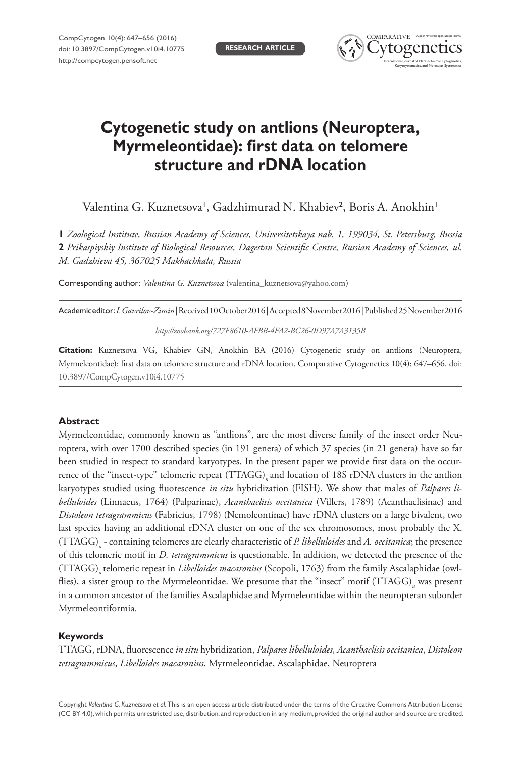

# **Cytogenetic study on antlions (Neuroptera, Myrmeleontidae): first data on telomere structure and rDNA location**

Valentina G. Kuznetsova', Gadzhimurad N. Khabiev<sup>2</sup>, Boris A. Anokhin'

**1** *Zoological Institute, Russian Academy of Sciences, Universitetskaya nab. 1, 199034, St. Petersburg, Russia*  **2** *Prikaspiyskiy Institute of Biological Resources, Dagestan Scientific Centre, Russian Academy of Sciences, ul. M. Gadzhieva 45, 367025 Makhachkala, Russia*

Corresponding author: *Valentina G. Kuznetsova* ([valentina\\_kuznetsova@yahoo.com](mailto:valentina_kuznetsova@yahoo.com))

| Academiceditor: I. Gavrilov-Zimin Received10October2016 Accepted8November2016 Published25November2016 |
|-------------------------------------------------------------------------------------------------------|
| http://zoobank.org/727F8610-AFBB-4FA2-BC26-0D97A7A3135B                                               |

**Citation:** Kuznetsova VG, Khabiev GN, Anokhin BA (2016) Cytogenetic study on antlions (Neuroptera, Myrmeleontidae): first data on telomere structure and rDNA location. Comparative Cytogenetics 10(4): 647–656. [doi:](https://doi.org/10.3897/CompCytogen.v10i4.10775) [10.3897/CompCytogen.v10i4.10775](https://doi.org/10.3897/CompCytogen.v10i4.10775)

## **Abstract**

Myrmeleontidae, commonly known as "antlions", are the most diverse family of the insect order Neuroptera, with over 1700 described species (in 191 genera) of which 37 species (in 21 genera) have so far been studied in respect to standard karyotypes. In the present paper we provide first data on the occurrence of the "insect-type" telomeric repeat (TTAGG) and location of 18S rDNA clusters in the antlion karyotypes studied using fluorescence *in situ* hybridization (FISH). We show that males of *Palpares libelluloides* (Linnaeus, 1764) (Palparinae), *Acanthaclisis occitanica* (Villers, 1789) (Acanthaclisinae) and *Distoleon tetragrammicus* (Fabricius, 1798) (Nemoleontinae) have rDNA clusters on a large bivalent, two last species having an additional rDNA cluster on one of the sex chromosomes, most probably the X. (TTAGG)*<sup>n</sup>* - containing telomeres are clearly characteristic of *P. libelluloides* and *A. occitanica*; the presence of this telomeric motif in *D. tetragrammicus* is questionable. In addition, we detected the presence of the (TTAGG)*n* telomeric repeat in *Libelloides macaronius* (Scopoli, 1763) from the family Ascalaphidae (owlflies), a sister group to the Myrmeleontidae. We presume that the "insect" motif (TTAGG)<sub>n</sub> was present in a common ancestor of the families Ascalaphidae and Myrmeleontidae within the neuropteran suborder Myrmeleontiformia.

## **Keywords**

TTAGG, rDNA, fluorescence *in situ* hybridization, *Palpares libelluloides*, *Acanthaclisis occitanica*, *Distoleon tetragrammicus*, *Libelloides macaronius*, Myrmeleontidae, Ascalaphidae, Neuroptera

Copyright *Valentina G. Kuznetsova et al.* This is an open access article distributed under the terms of the [Creative Commons Attribution License](http://creativecommons.org/licenses/by/4.0/)  [\(CC BY 4.0\)](http://creativecommons.org/licenses/by/4.0/), which permits unrestricted use, distribution, and reproduction in any medium, provided the original author and source are credited.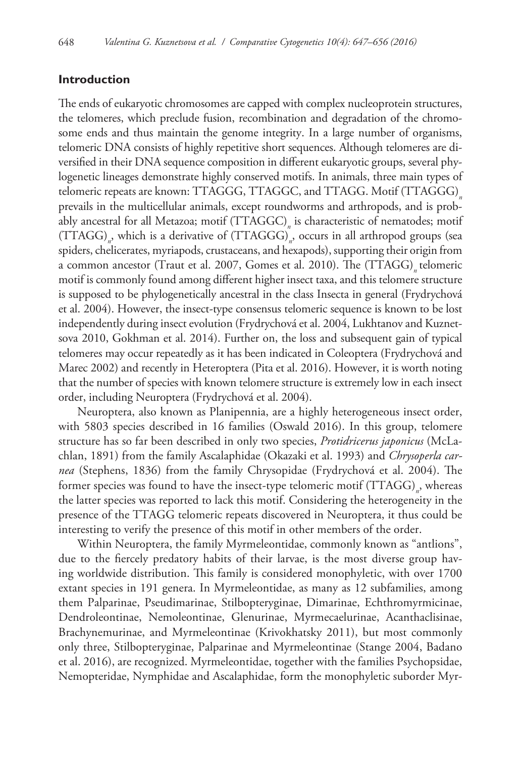#### **Introduction**

The ends of eukaryotic chromosomes are capped with complex nucleoprotein structures, the telomeres, which preclude fusion, recombination and degradation of the chromosome ends and thus maintain the genome integrity. In a large number of organisms, telomeric DNA consists of highly repetitive short sequences. Although telomeres are diversified in their DNA sequence composition in different eukaryotic groups, several phylogenetic lineages demonstrate highly conserved motifs. In animals, three main types of telomeric repeats are known: TTAGGG, TTAGGC, and TTAGG. Motif (TTAGGG)*<sup>n</sup>* prevails in the multicellular animals, except roundworms and arthropods, and is probably ancestral for all Metazoa; motif (TTAGGC)*<sup>n</sup>* is characteristic of nematodes; motif (TTAGG)*<sup>n</sup>* , which is a derivative of (TTAGGG)*<sup>n</sup>* , occurs in all arthropod groups (sea spiders, chelicerates, myriapods, crustaceans, and hexapods), supporting their origin from a common ancestor (Traut et al. 2007, Gomes et al. 2010). The (TTAGG) telomeric motif is commonly found among different higher insect taxa, and this telomere structure is supposed to be phylogenetically ancestral in the class Insecta in general (Frydrychová et al. 2004). However, the insect-type consensus telomeric sequence is known to be lost independently during insect evolution (Frydrychová et al. 2004, Lukhtanov and Kuznetsova 2010, Gokhman et al. 2014). Further on, the loss and subsequent gain of typical telomeres may occur repeatedly as it has been indicated in Coleoptera (Frydrychová and Marec 2002) and recently in Heteroptera (Pita et al. 2016). However, it is worth noting that the number of species with known telomere structure is extremely low in each insect order, including Neuroptera (Frydrychová et al. 2004).

Neuroptera, also known as Planipennia, are a highly heterogeneous insect order, with 5803 species described in 16 families (Oswald 2016). In this group, telomere structure has so far been described in only two species, *Protidricerus japonicus* (McLachlan, 1891) from the family Ascalaphidae (Okazaki et al. 1993) and *Chrysoperla carnea* (Stephens, 1836) from the family Chrysopidae (Frydrychová et al. 2004). The former species was found to have the insect-type telomeric motif (TTAGG)<sub>n</sub>, whereas the latter species was reported to lack this motif. Considering the heterogeneity in the presence of the TTAGG telomeric repeats discovered in Neuroptera, it thus could be interesting to verify the presence of this motif in other members of the order.

Within Neuroptera, the family Myrmeleontidae, commonly known as "antlions", due to the fiercely predatory habits of their larvae, is the most diverse group having worldwide distribution. This family is considered monophyletic, with over 1700 extant species in 191 genera. In Myrmeleontidae, as many as 12 subfamilies, among them Palparinae, Pseudimarinae, Stilbopteryginae, Dimarinae, Echthromyrmicinae, Dendroleontinae, Nemoleontinae, Glenurinae, Myrmecaelurinae, Acanthaclisinae, Brachynemurinae, and Myrmeleontinae (Krivokhatsky 2011), but most commonly only three, Stilbopteryginae, Palparinae and Myrmeleontinae (Stange 2004, Badano et al. 2016), are recognized. Myrmeleontidae, together with the families Psychopsidae, Nemopteridae, Nymphidae and Ascalaphidae, form the monophyletic suborder Myr-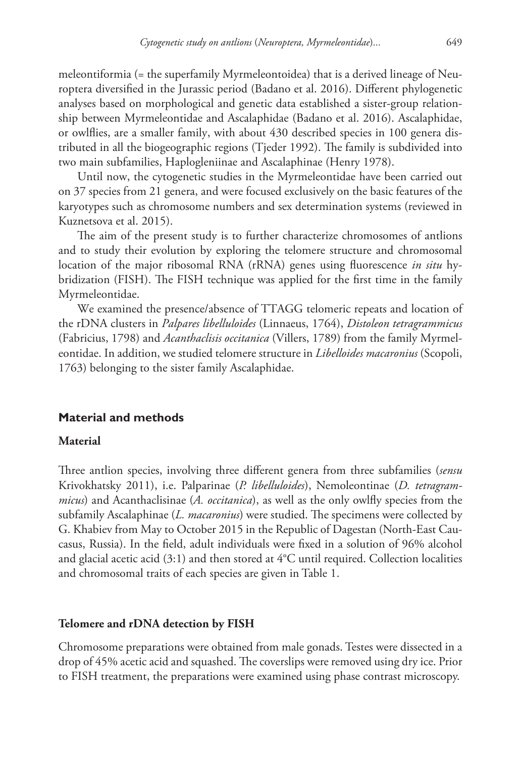meleontiformia (= the superfamily Myrmeleontoidea) that is a derived lineage of Neuroptera diversified in the Jurassic period (Badano et al. 2016). Different phylogenetic analyses based on morphological and genetic data established a sister-group relationship between Myrmeleontidae and Ascalaphidae (Badano et al. 2016). Ascalaphidae, or owlflies, are a smaller family, with about 430 described species in 100 genera distributed in all the biogeographic regions (Tjeder 1992). The family is subdivided into two main subfamilies, Haplogleniinae and Ascalaphinae (Henry 1978).

Until now, the cytogenetic studies in the Myrmeleontidae have been carried out on 37 species from 21 genera, and were focused exclusively on the basic features of the karyotypes such as chromosome numbers and sex determination systems (reviewed in Kuznetsova et al. 2015).

The aim of the present study is to further characterize chromosomes of antlions and to study their evolution by exploring the telomere structure and chromosomal location of the major ribosomal RNA (rRNA) genes using fluorescence *in situ* hybridization (FISH). The FISH technique was applied for the first time in the family Myrmeleontidae.

We examined the presence/absence of TTAGG telomeric repeats and location of the rDNA clusters in *Palpares libelluloides* (Linnaeus, 1764), *Distoleon tetragrammicus*  (Fabricius, 1798) and *Acanthaclisis occitanica* (Villers, 1789) from the family Myrmeleontidae. In addition, we studied telomere structure in *Libelloides macaronius* (Scopoli, 1763) belonging to the sister family Ascalaphidae.

## **Material and methods**

#### **Material**

Three antlion species, involving three different genera from three subfamilies (*sensu*  Krivokhatsky 2011), i.e. Palparinae (*P. libelluloides*), Nemoleontinae (*D. tetragrammicus*) and Acanthaclisinae (*A. occitanica*), as well as the only owlfly species from the subfamily Ascalaphinae (*L. macaronius*) were studied. The specimens were collected by G. Khabiev from May to October 2015 in the Republic of Dagestan (North-East Caucasus, Russia). In the field, adult individuals were fixed in a solution of 96% alcohol and glacial acetic acid  $(3:1)$  and then stored at  $4^{\circ}$ C until required. Collection localities and chromosomal traits of each species are given in Table 1.

#### **Telomere and rDNA detection by FISH**

Chromosome preparations were obtained from male gonads. Testes were dissected in a drop of 45% acetic acid and squashed. The coverslips were removed using dry ice. Prior to FISH treatment, the preparations were examined using phase contrast microscopy.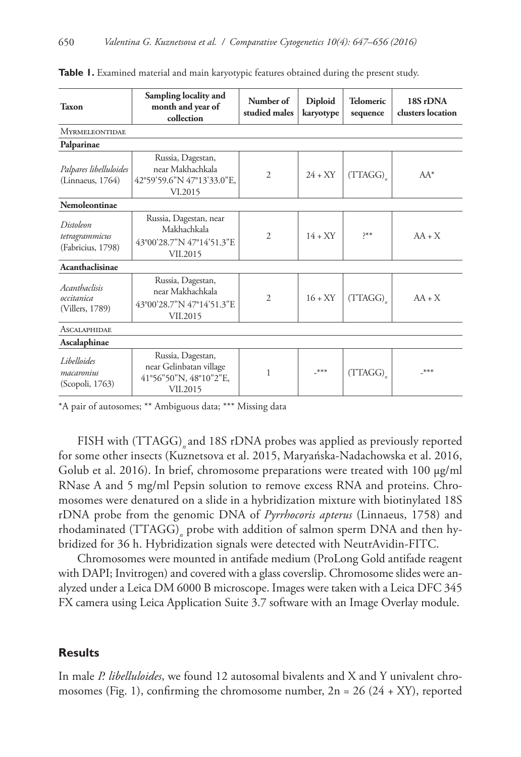| <b>Taxon</b>                                     | Sampling locality and<br>month and year of<br>collection                           | Number of<br>studied males  | <b>Diploid</b><br>karyotype | <b>Telomeric</b><br>sequence | 18S rDNA<br>clusters location |  |
|--------------------------------------------------|------------------------------------------------------------------------------------|-----------------------------|-----------------------------|------------------------------|-------------------------------|--|
| <b>MYRMELEONTIDAE</b>                            |                                                                                    |                             |                             |                              |                               |  |
| Palparinae                                       |                                                                                    |                             |                             |                              |                               |  |
| Palpares libelluloides<br>(Linnaeus, 1764)       | Russia, Dagestan,<br>near Makhachkala<br>42°59'59.6"N 47°13'33.0"E,<br>VI.2015     | $\overline{2}$              | $24 + XY$                   | (TTAGG)                      | $AA^*$                        |  |
| Nemoleontinae                                    |                                                                                    |                             |                             |                              |                               |  |
| Distoleon<br>tetragrammicus<br>(Fabricius, 1798) | Russia, Dagestan, near<br>Makhachkala<br>43°00'28.7"N 47°14'51.3"E<br>VII.2015     | $\mathcal{D}_{\mathcal{L}}$ | $14 + XY$                   | >∗∗<                         | $AA + X$                      |  |
| Acanthaclisinae                                  |                                                                                    |                             |                             |                              |                               |  |
| Acanthaclisis<br>occitanica<br>(Villers, 1789)   | Russia, Dagestan,<br>near Makhachkala<br>43°00'28.7"N 47°14'51.3"E<br>VII.2015     | $\overline{c}$              | $16 + XY$                   | (TTAGG)                      | $AA + X$                      |  |
| <b>ASCALAPHIDAE</b>                              |                                                                                    |                             |                             |                              |                               |  |
| Ascalaphinae                                     |                                                                                    |                             |                             |                              |                               |  |
| Libelloides<br>macaronius<br>(Scopoli, 1763)     | Russia, Dagestan,<br>near Gelinbatan village<br>41°56"50"N, 48°10"2"E,<br>VII.2015 | 1                           | $***$                       | (TTAGG)                      | ***                           |  |

**Table 1.** Examined material and main karyotypic features obtained during the present study.

\*A pair of autosomes; \*\* Ambiguous data; \*\*\* Missing data

FISH with (TTAGG)<sub>a</sub> and 18S rDNA probes was applied as previously reported for some other insects (Kuznetsova et al. 2015, Maryańska-Nadachowska et al. 2016, Golub et al. 2016). In brief, chromosome preparations were treated with 100 µg/ml RNase A and 5 mg/ml Pepsin solution to remove excess RNA and proteins. Chromosomes were denatured on a slide in a hybridization mixture with biotinylated 18S rDNA probe from the genomic DNA of *Pyrrhocoris apterus* (Linnaeus, 1758) and rhodaminated (TTAGG)<sub>n</sub> probe with addition of salmon sperm DNA and then hybridized for 36 h. Hybridization signals were detected with NeutrAvidin-FITC.

Chromosomes were mounted in antifade medium (ProLong Gold antifade reagent with DAPI; Invitrogen) and covered with a glass coverslip. Chromosome slides were analyzed under a Leica DM 6000 B microscope. Images were taken with a Leica DFC 345 FX camera using Leica Application Suite 3.7 software with an Image Overlay module.

## **Results**

In male *P. libelluloides*, we found 12 autosomal bivalents and X and Y univalent chromosomes (Fig. 1), confirming the chromosome number,  $2n = 26 (24 + XY)$ , reported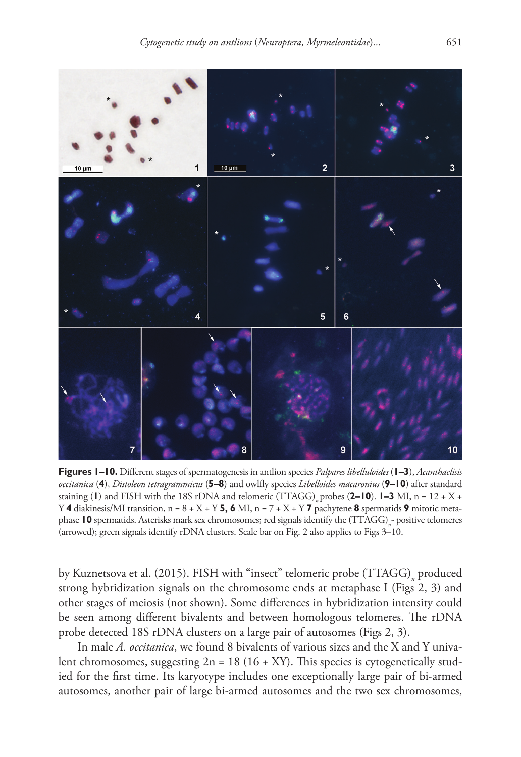

**Figures 1–10.** Different stages of spermatogenesis in antlion species *Palpares libelluloides* (**1–3**), *Acanthaclisis occitanica* (**4**), *Distoleon tetragrammicus* (**5–8**) and owlfly species *Libelloides macaronius* (**9–10**) after standard staining (**l**) and FISH with the 18S rDNA and telomeric (TTAGG) probes (2–10).  $1-3$  MI, n = 12 + X + Y **4** diakinesis/MI transition,  $n = 8 + X + Y$  **5, 6** MI,  $n = 7 + X + Y$  **7** pachytene **8** spermatids **9** mitotic metaphase **10** spermatids. Asterisks mark sex chromosomes; red signals identify the (TTAGG)<sub>n</sub>-positive telomeres (arrowed); green signals identify rDNA clusters. Scale bar on Fig. 2 also applies to Figs 3–10.

by Kuznetsova et al. (2015). FISH with "insect" telomeric probe (TTAGG)<sub>,</sub> produced strong hybridization signals on the chromosome ends at metaphase I (Figs 2, 3) and other stages of meiosis (not shown). Some differences in hybridization intensity could be seen among different bivalents and between homologous telomeres. The rDNA probe detected 18S rDNA clusters on a large pair of autosomes (Figs 2, 3).

In male *A. occitanica*, we found 8 bivalents of various sizes and the X and Y univalent chromosomes, suggesting  $2n = 18(16 + XY)$ . This species is cytogenetically studied for the first time. Its karyotype includes one exceptionally large pair of bi-armed autosomes, another pair of large bi-armed autosomes and the two sex chromosomes,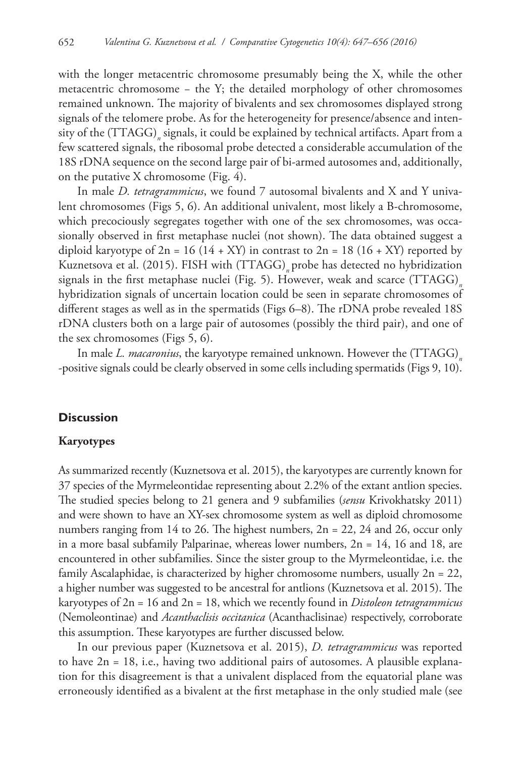with the longer metacentric chromosome presumably being the X, while the other metacentric chromosome − the Y; the detailed morphology of other chromosomes remained unknown. The majority of bivalents and sex chromosomes displayed strong signals of the telomere probe. As for the heterogeneity for presence/absence and intensity of the (TTAGG)*<sup>n</sup>* signals, it could be explained by technical artifacts. Apart from a few scattered signals, the ribosomal probe detected a considerable accumulation of the 18S rDNA sequence on the second large pair of bi-armed autosomes and, additionally, on the putative X chromosome (Fig. 4).

In male *D. tetragrammicus*, we found 7 autosomal bivalents and X and Y univalent chromosomes (Figs 5, 6). An additional univalent, most likely a B-chromosome, which precociously segregates together with one of the sex chromosomes, was occasionally observed in first metaphase nuclei (not shown). The data obtained suggest a diploid karyotype of  $2n = 16 (14 + XY)$  in contrast to  $2n = 18 (16 + XY)$  reported by Kuznetsova et al. (2015). FISH with (TTAGG) probe has detected no hybridization signals in the first metaphase nuclei (Fig. 5). However, weak and scarce (TTAGG)<sub>n</sub> hybridization signals of uncertain location could be seen in separate chromosomes of different stages as well as in the spermatids (Figs 6–8). The rDNA probe revealed 18S rDNA clusters both on a large pair of autosomes (possibly the third pair), and one of the sex chromosomes (Figs 5, 6).

In male *L. macaronius*, the karyotype remained unknown. However the (TTAGG)<sub>n</sub> -positive signals could be clearly observed in some cells including spermatids (Figs 9, 10).

## **Discussion**

#### **Karyotypes**

As summarized recently (Kuznetsova et al. 2015), the karyotypes are currently known for 37 species of the Myrmeleontidae representing about 2.2% of the extant antlion species. The studied species belong to 21 genera and 9 subfamilies (*sensu* Krivokhatsky 2011) and were shown to have an XY-sex chromosome system as well as diploid chromosome numbers ranging from 14 to 26. The highest numbers, 2n = 22, 24 and 26, occur only in a more basal subfamily Palparinae, whereas lower numbers,  $2n = 14$ , 16 and 18, are encountered in other subfamilies. Since the sister group to the Myrmeleontidae, i.e. the family Ascalaphidae, is characterized by higher chromosome numbers, usually  $2n = 22$ , a higher number was suggested to be ancestral for antlions (Kuznetsova et al. 2015). The karyotypes of 2n = 16 and 2n = 18, which we recently found in *Distoleon tetragrammicus* (Nemoleontinae) and *Acanthaclisis occitanica* (Acanthaclisinae) respectively, corroborate this assumption. These karyotypes are further discussed below.

In our previous paper (Kuznetsova et al. 2015), *D. tetragrammicus* was reported to have 2n = 18, i.e., having two additional pairs of autosomes. A plausible explanation for this disagreement is that a univalent displaced from the equatorial plane was erroneously identified as a bivalent at the first metaphase in the only studied male (see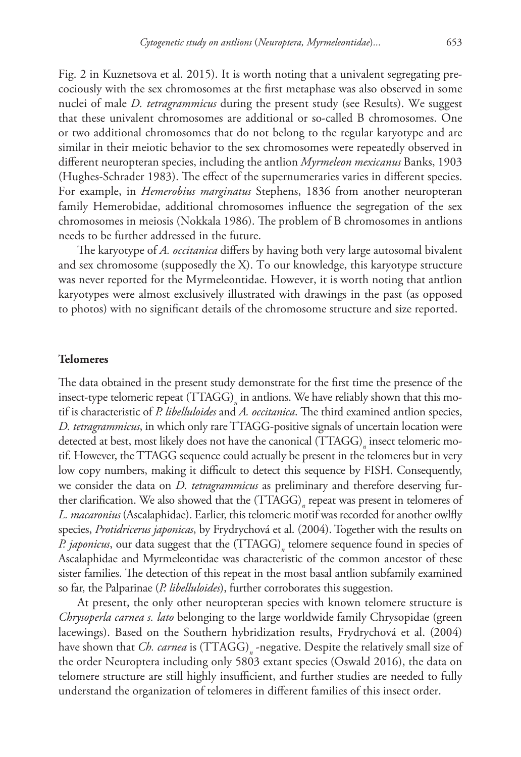Fig. 2 in Kuznetsova et al. 2015). It is worth noting that a univalent segregating precociously with the sex chromosomes at the first metaphase was also observed in some nuclei of male *D. tetragrammicus* during the present study (see Results). We suggest that these univalent chromosomes are additional or so-called B chromosomes. One or two additional chromosomes that do not belong to the regular karyotype and are similar in their meiotic behavior to the sex chromosomes were repeatedly observed in different neuropteran species, including the antlion *Myrmeleon mexicanus* Banks, 1903 (Hughes-Schrader 1983). The effect of the supernumeraries varies in different species. For example, in *Hemerobius marginatus* Stephens, 1836 from another neuropteran family Hemerobidae, additional chromosomes influence the segregation of the sex chromosomes in meiosis (Nokkala 1986). The problem of B chromosomes in antlions needs to be further addressed in the future.

The karyotype of *A. occitanica* differs by having both very large autosomal bivalent and sex chromosome (supposedly the X). To our knowledge, this karyotype structure was never reported for the Myrmeleontidae. However, it is worth noting that antlion karyotypes were almost exclusively illustrated with drawings in the past (as opposed to photos) with no significant details of the chromosome structure and size reported.

#### **Telomeres**

The data obtained in the present study demonstrate for the first time the presence of the insect-type telomeric repeat (TTAGG)<sub>n</sub> in antlions. We have reliably shown that this motif is characteristic of *P. libelluloides* and *A. occitanica*. The third examined antlion species, *D. tetragrammicus*, in which only rare TTAGG-positive signals of uncertain location were detected at best, most likely does not have the canonical (TTAGG)<sub>n</sub> insect telomeric motif. However, the TTAGG sequence could actually be present in the telomeres but in very low copy numbers, making it difficult to detect this sequence by FISH. Consequently, we consider the data on *D. tetragrammicus* as preliminary and therefore deserving further clarification. We also showed that the (TTAGG)<sub>n</sub> repeat was present in telomeres of *L. macaronius* (Ascalaphidae). Earlier, this telomeric motif was recorded for another owlfly species, *Protidricerus japonicas*, by Frydrychová et al. (2004). Together with the results on *P. japonicus*, our data suggest that the (TTAGG)*<sup>n</sup>* telomere sequence found in species of Ascalaphidae and Myrmeleontidae was characteristic of the common ancestor of these sister families. The detection of this repeat in the most basal antlion subfamily examined so far, the Palparinae (*P. libelluloides*), further corroborates this suggestion.

At present, the only other neuropteran species with known telomere structure is *Chrysoperla carnea s. lato* belonging to the large worldwide family Chrysopidae (green lacewings). Based on the Southern hybridization results, Frydrychová et al. (2004) have shown that *Ch. carnea* is  $(TTAGG)_n$  -negative. Despite the relatively small size of the order Neuroptera including only 5803 extant species (Oswald 2016), the data on telomere structure are still highly insufficient, and further studies are needed to fully understand the organization of telomeres in different families of this insect order.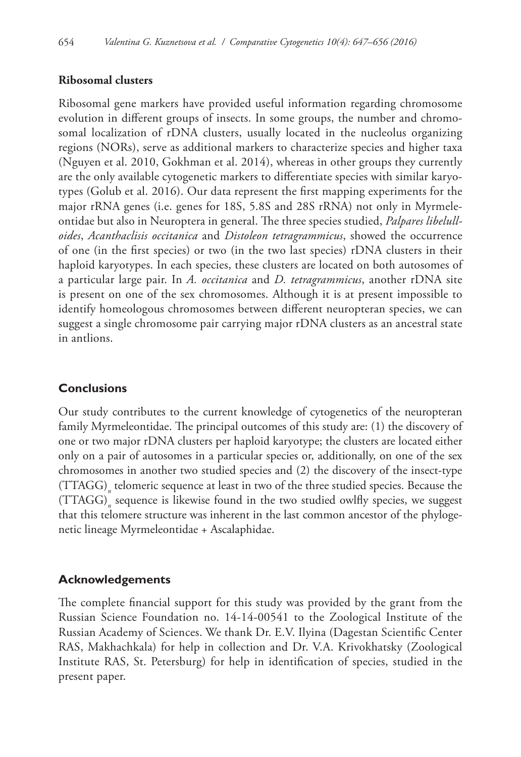## **Ribosomal clusters**

Ribosomal gene markers have provided useful information regarding chromosome evolution in different groups of insects. In some groups, the number and chromosomal localization of rDNA clusters, usually located in the nucleolus organizing regions (NORs), serve as additional markers to characterize species and higher taxa (Nguyen et al. 2010, Gokhman et al. 2014), whereas in other groups they currently are the only available cytogenetic markers to differentiate species with similar karyotypes (Golub et al. 2016). Our data represent the first mapping experiments for the major rRNA genes (i.e. genes for 18S, 5.8S and 28S rRNA) not only in Myrmeleontidae but also in Neuroptera in general. The three species studied, *Palpares libelulloides*, *Acanthaclisis occitanica* and *Distoleon tetragrammicus*, showed the occurrence of one (in the first species) or two (in the two last species) rDNA clusters in their haploid karyotypes. In each species, these clusters are located on both autosomes of a particular large pair. In *A. occitanica* and *D. tetragrammicus*, another rDNA site is present on one of the sex chromosomes. Although it is at present impossible to identify homeologous chromosomes between different neuropteran species, we can suggest a single chromosome pair carrying major rDNA clusters as an ancestral state in antlions.

# **Conclusions**

Our study contributes to the current knowledge of cytogenetics of the neuropteran family Myrmeleontidae. The principal outcomes of this study are: (1) the discovery of one or two major rDNA clusters per haploid karyotype; the clusters are located either only on a pair of autosomes in a particular species or, additionally, on one of the sex chromosomes in another two studied species and (2) the discovery of the insect-type (TTAGG)*<sup>n</sup>* telomeric sequence at least in two of the three studied species. Because the (TTAGG)*<sup>n</sup>* sequence is likewise found in the two studied owlfly species, we suggest that this telomere structure was inherent in the last common ancestor of the phylogenetic lineage Myrmeleontidae + Ascalaphidae.

# **Acknowledgements**

The complete financial support for this study was provided by the grant from the Russian Science Foundation no. 14-14-00541 to the Zoological Institute of the Russian Academy of Sciences. We thank Dr. E.V. Ilyina (Dagestan Scientific Center RAS, Makhachkala) for help in collection and Dr. V.A. Krivokhatsky (Zoological Institute RAS, St. Petersburg) for help in identification of species, studied in the present paper.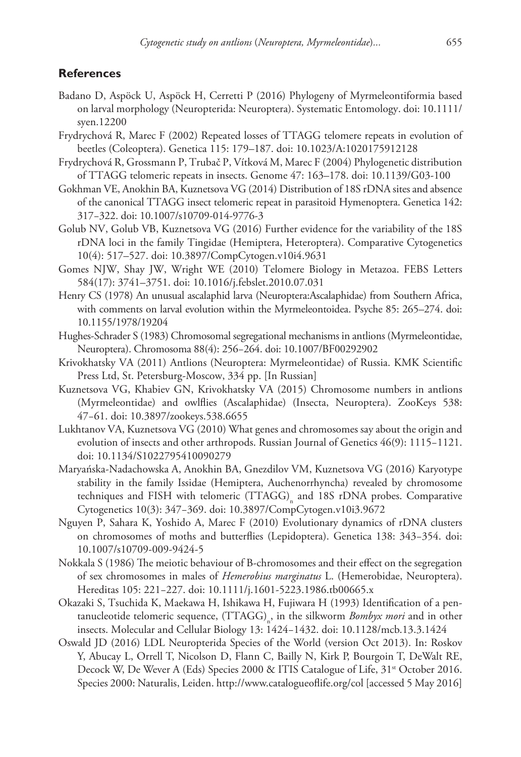## **References**

- Badano D, Aspöck U, Aspöck H, Cerretti P (2016) Phylogeny of Myrmeleontiformia based on larval morphology (Neuropterida: Neuroptera). Systematic Entomology. [doi: 10.1111/](https://doi.org/10.1111/syen.12200) [syen.12200](https://doi.org/10.1111/syen.12200)
- Frydrychová R, Marec F (2002) Repeated losses of TTAGG telomere repeats in evolution of beetles (Coleoptera). Genetica 115: 179–187. [doi: 10.1023/A:1020175912128](https://doi.org/10.1023/A:1020175912128)
- Frydrychová R, Grossmann P, Trubač P, Vítková M, Marec F (2004) Phylogenetic distribution of TTAGG telomeric repeats in insects. Genome 47: 163–178. [doi: 10.1139/G03-100](https://doi.org/10.1139/G03-100)
- Gokhman VE, Anokhin BA, Kuznetsova VG (2014) Distribution of 18S rDNA sites and absence of the canonical TTAGG insect telomeric repeat in parasitoid Hymenoptera. Genetica 142: 317−322. [doi: 10.1007/s10709-014-9776-3](https://doi.org/10.1007/s10709-014-9776-3)
- Golub NV, Golub VB, Kuznetsova VG (2016) Further evidence for the variability of the 18S rDNA loci in the family Tingidae (Hemiptera, Heteroptera). Comparative Cytogenetics 10(4): 517–527. [doi: 10.3897/CompCytogen.v10i4.9631](https://doi.org/10.3897/CompCytogen.v10i4.9631)
- Gomes NJW, Shay JW, Wright WE (2010) Telomere Biology in Metazoa. FEBS Letters 584(17): 3741–3751. [doi: 10.1016/j.febslet.2010.07.031](https://doi.org/10.1016/j.febslet.2010.07.031)
- Henry CS (1978) An unusual ascalaphid larva (Neuroptera:Ascalaphidae) from Southern Africa, with comments on larval evolution within the Myrmeleontoidea. Psyche 85: 265–274. [doi:](https://doi.org/10.1155/1978/19204) [10.1155/1978/19204](https://doi.org/10.1155/1978/19204)
- Hughes-Schrader S (1983) Chromosomal segregational mechanisms in antlions (Myrmeleontidae, Neuroptera). Chromosoma 88(4): 256−264. [doi: 10.1007/BF00292902](https://doi.org/10.1007/BF00292902)
- Krivokhatsky VA (2011) Antlions (Neuroptera: Myrmeleontidae) of Russia. KMK Scientific Press Ltd, St. Petersburg-Moscow, 334 pp. [In Russian]
- Kuznetsova VG, Khabiev GN, Krivokhatsky VA (2015) Chromosome numbers in antlions (Myrmeleontidae) and owlflies (Ascalaphidae) (Insecta, Neuroptera). ZooKeys 538: 47−61. [doi: 10.3897/zookeys.538.6655](https://doi.org/10.3897/zookeys.538.6655)
- Lukhtanov VA, Kuznetsova VG (2010) What genes and chromosomes say about the origin and evolution of insects and other arthropods. Russian Journal of Genetics 46(9): 1115−1121. [doi: 10.1134/S1022795410090279](https://doi.org/10.1134/S1022795410090279)
- Maryańska-Nadachowska A, Anokhin BA, Gnezdilov VM, Kuznetsova VG (2016) Karyotype stability in the family Issidae (Hemiptera, Auchenorrhyncha) revealed by chromosome techniques and FISH with telomeric (TTAGG)<sub>n</sub> and 18S rDNA probes. Comparative Cytogenetics 10(3): 347−369. [doi: 10.3897/CompCytogen.v10i3.9672](https://doi.org/10.3897/CompCytogen.v10i3.9672)
- Nguyen P, Sahara K, Yoshido A, Marec F (2010) Evolutionary dynamics of rDNA clusters on chromosomes of moths and butterflies (Lepidoptera). Genetica 138: 343−354. [doi:](https://doi.org/10.1007/s10709-009-9424-5) [10.1007/s10709-009-9424-5](https://doi.org/10.1007/s10709-009-9424-5)
- Nokkala S (1986) The meiotic behaviour of B-chromosomes and their effect on the segregation of sex chromosomes in males of *Hemerobius marginatus* L. (Hemerobidae, Neuroptera). Hereditas 105: 221−227. [doi: 10.1111/j.1601-5223.1986.tb00665.x](https://doi.org/10.1111/j.1601-5223.1986.tb00665.x)
- Okazaki S, Tsuchida K, Maekawa H, Ishikawa H, Fujiwara H (1993) Identification of a pentanucleotide telomeric sequence,  $\left(\text{TTAGG}\right)_{\text{n}}$ , in the silkworm *Bombyx mori* and in other insects. Molecular and Cellular Biology 13: 1424−1432. [doi: 10.1128/mcb.13.3.1424](https://doi.org/10.1128/mcb.13.3.1424)
- Oswald JD (2016) LDL Neuropterida Species of the World (version Oct 2013). In: Roskov Y, Abucay L, Orrell T, Nicolson D, Flann C, Bailly N, Kirk P, Bourgoin T, DeWalt RE, Decock W, De Wever A (Eds) Species 2000 & ITIS Catalogue of Life, 31<sup>st</sup> October 2016. Species 2000: Naturalis, Leiden.<http://www.catalogueoflife.org/col>[accessed 5 May 2016]